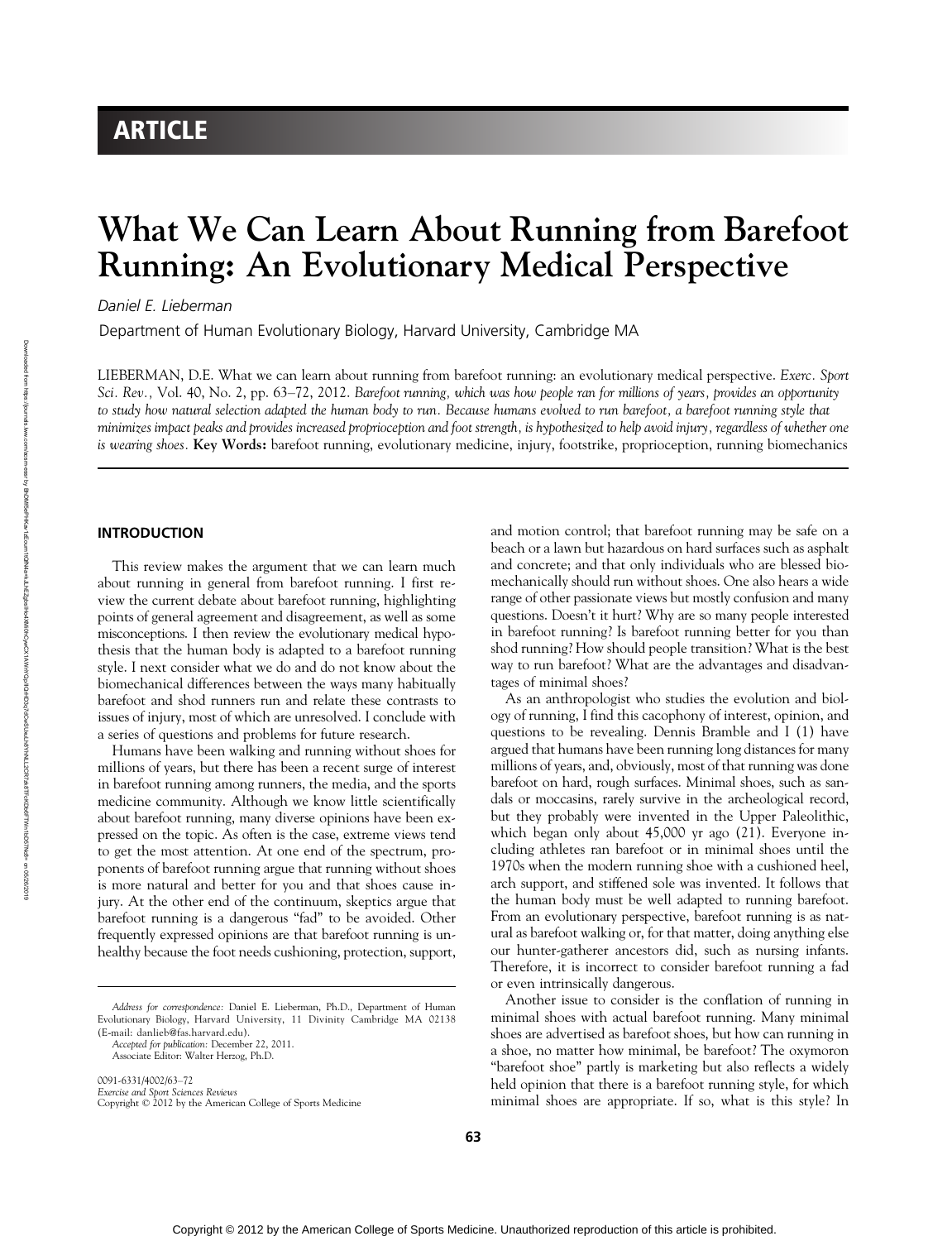# ARTICLE

# What We Can Learn About Running from Barefoot Running: An Evolutionary Medical Perspective

Daniel E. Lieberman

Department of Human Evolutionary Biology, Harvard University, Cambridge MA

LIEBERMAN, D.E. What we can learn about running from barefoot running: an evolutionary medical perspective. Exerc. Sport Sci. Rev., Vol. 40, No. 2, pp. 63–72, 2012. Barefoot running, which was how people ran for millions of years, provides an opportunity to study how natural selection adapted the human body to run. Because humans evolved to run barefoot, a barefoot running style that minimizes impact peaks and provides increased proprioception and foot strength, is hypothesized to help avoid injury, regardless of whether one is wearing shoes. Key Words: barefoot running, evolutionary medicine, injury, footstrike, proprioception, running biomechanics

#### INTRODUCTION

This review makes the argument that we can learn much about running in general from barefoot running. I first review the current debate about barefoot running, highlighting points of general agreement and disagreement, as well as some misconceptions. I then review the evolutionary medical hypothesis that the human body is adapted to a barefoot running style. I next consider what we do and do not know about the biomechanical differences between the ways many habitually barefoot and shod runners run and relate these contrasts to issues of injury, most of which are unresolved. I conclude with a series of questions and problems for future research.

Humans have been walking and running without shoes for millions of years, but there has been a recent surge of interest in barefoot running among runners, the media, and the sports medicine community. Although we know little scientifically about barefoot running, many diverse opinions have been expressed on the topic. As often is the case, extreme views tend to get the most attention. At one end of the spectrum, proponents of barefoot running argue that running without shoes is more natural and better for you and that shoes cause injury. At the other end of the continuum, skeptics argue that barefoot running is a dangerous "fad" to be avoided. Other frequently expressed opinions are that barefoot running is unhealthy because the foot needs cushioning, protection, support,

Address for correspondence: Daniel E. Lieberman, Ph.D., Department of Human Evolutionary Biology, Harvard University, 11 Divinity Cambridge MA 02138 (E<mail: danlieb@fas.harvard.edu).

0091-6331/4002/63-72 Exercise and Sport Sciences Reviews<br>Copyright © 2012 by the American College of Sports Medicine and motion control; that barefoot running may be safe on a beach or a lawn but hazardous on hard surfaces such as asphalt and concrete; and that only individuals who are blessed biomechanically should run without shoes. One also hears a wide range of other passionate views but mostly confusion and many questions. Doesn't it hurt? Why are so many people interested in barefoot running? Is barefoot running better for you than shod running? How should people transition? What is the best way to run barefoot? What are the advantages and disadvantages of minimal shoes?

As an anthropologist who studies the evolution and biology of running, I find this cacophony of interest, opinion, and questions to be revealing. Dennis Bramble and I (1) have argued that humans have been running long distances for many millions of years, and, obviously, most of that running was done barefoot on hard, rough surfaces. Minimal shoes, such as sandals or moccasins, rarely survive in the archeological record, but they probably were invented in the Upper Paleolithic, which began only about 45,000 yr ago (21). Everyone including athletes ran barefoot or in minimal shoes until the 1970s when the modern running shoe with a cushioned heel, arch support, and stiffened sole was invented. It follows that the human body must be well adapted to running barefoot. From an evolutionary perspective, barefoot running is as natural as barefoot walking or, for that matter, doing anything else our hunter-gatherer ancestors did, such as nursing infants. Therefore, it is incorrect to consider barefoot running a fad or even intrinsically dangerous.

Another issue to consider is the conflation of running in minimal shoes with actual barefoot running. Many minimal shoes are advertised as barefoot shoes, but how can running in a shoe, no matter how minimal, be barefoot? The oxymoron "barefoot shoe" partly is marketing but also reflects a widely held opinion that there is a barefoot running style, for which minimal shoes are appropriate. If so, what is this style? In

Accepted for publication: December 22, 2011. Associate Editor: Walter Herzog, Ph.D.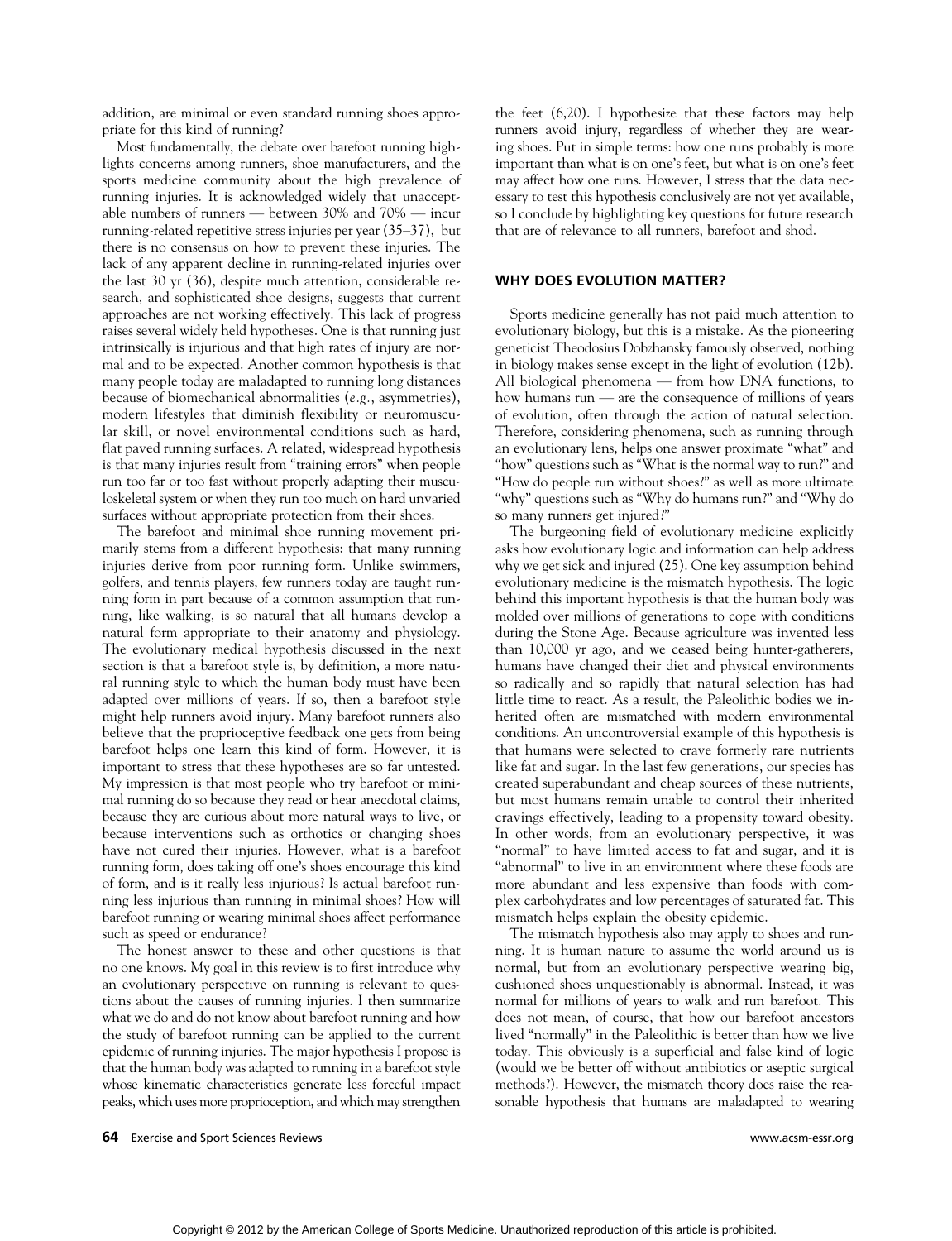addition, are minimal or even standard running shoes appropriate for this kind of running?

Most fundamentally, the debate over barefoot running highlights concerns among runners, shoe manufacturers, and the sports medicine community about the high prevalence of running injuries. It is acknowledged widely that unacceptable numbers of runners  $-$  between 30% and 70%  $-$  incur running-related repetitive stress injuries per year  $(35-37)$ , but there is no consensus on how to prevent these injuries. The lack of any apparent decline in running-related injuries over the last 30 yr (36), despite much attention, considerable research, and sophisticated shoe designs, suggests that current approaches are not working effectively. This lack of progress raises several widely held hypotheses. One is that running just intrinsically is injurious and that high rates of injury are normal and to be expected. Another common hypothesis is that many people today are maladapted to running long distances because of biomechanical abnormalities (e.g., asymmetries), modern lifestyles that diminish flexibility or neuromuscular skill, or novel environmental conditions such as hard, flat paved running surfaces. A related, widespread hypothesis is that many injuries result from "training errors" when people run too far or too fast without properly adapting their musculoskeletal system or when they run too much on hard unvaried surfaces without appropriate protection from their shoes.

The barefoot and minimal shoe running movement primarily stems from a different hypothesis: that many running injuries derive from poor running form. Unlike swimmers, golfers, and tennis players, few runners today are taught running form in part because of a common assumption that running, like walking, is so natural that all humans develop a natural form appropriate to their anatomy and physiology. The evolutionary medical hypothesis discussed in the next section is that a barefoot style is, by definition, a more natural running style to which the human body must have been adapted over millions of years. If so, then a barefoot style might help runners avoid injury. Many barefoot runners also believe that the proprioceptive feedback one gets from being barefoot helps one learn this kind of form. However, it is important to stress that these hypotheses are so far untested. My impression is that most people who try barefoot or minimal running do so because they read or hear anecdotal claims, because they are curious about more natural ways to live, or because interventions such as orthotics or changing shoes have not cured their injuries. However, what is a barefoot running form, does taking off one's shoes encourage this kind of form, and is it really less injurious? Is actual barefoot running less injurious than running in minimal shoes? How will barefoot running or wearing minimal shoes affect performance such as speed or endurance?

The honest answer to these and other questions is that no one knows. My goal in this review is to first introduce why an evolutionary perspective on running is relevant to questions about the causes of running injuries. I then summarize what we do and do not know about barefoot running and how the study of barefoot running can be applied to the current epidemic of running injuries. The major hypothesis I propose is that the human body was adapted to running in a barefoot style whose kinematic characteristics generate less forceful impact peaks, which uses more proprioception, and which may strengthen

the feet (6,20). I hypothesize that these factors may help runners avoid injury, regardless of whether they are wearing shoes. Put in simple terms: how one runs probably is more important than what is on one's feet, but what is on one's feet may affect how one runs. However, I stress that the data necessary to test this hypothesis conclusively are not yet available, so I conclude by highlighting key questions for future research that are of relevance to all runners, barefoot and shod.

# WHY DOES EVOLUTION MATTER?

Sports medicine generally has not paid much attention to evolutionary biology, but this is a mistake. As the pioneering geneticist Theodosius Dobzhansky famously observed, nothing in biology makes sense except in the light of evolution (12b). All biological phenomena - from how DNA functions, to how humans  $run$  — are the consequence of millions of years of evolution, often through the action of natural selection. Therefore, considering phenomena, such as running through an evolutionary lens, helps one answer proximate ''what'' and "how" questions such as "What is the normal way to run?" and ''How do people run without shoes?'' as well as more ultimate "why" questions such as "Why do humans run?" and "Why do so many runners get injured?''

The burgeoning field of evolutionary medicine explicitly asks how evolutionary logic and information can help address why we get sick and injured (25). One key assumption behind evolutionary medicine is the mismatch hypothesis. The logic behind this important hypothesis is that the human body was molded over millions of generations to cope with conditions during the Stone Age. Because agriculture was invented less than 10,000 yr ago, and we ceased being hunter-gatherers, humans have changed their diet and physical environments so radically and so rapidly that natural selection has had little time to react. As a result, the Paleolithic bodies we inherited often are mismatched with modern environmental conditions. An uncontroversial example of this hypothesis is that humans were selected to crave formerly rare nutrients like fat and sugar. In the last few generations, our species has created superabundant and cheap sources of these nutrients, but most humans remain unable to control their inherited cravings effectively, leading to a propensity toward obesity. In other words, from an evolutionary perspective, it was "normal" to have limited access to fat and sugar, and it is "abnormal" to live in an environment where these foods are more abundant and less expensive than foods with complex carbohydrates and low percentages of saturated fat. This mismatch helps explain the obesity epidemic.

The mismatch hypothesis also may apply to shoes and running. It is human nature to assume the world around us is normal, but from an evolutionary perspective wearing big, cushioned shoes unquestionably is abnormal. Instead, it was normal for millions of years to walk and run barefoot. This does not mean, of course, that how our barefoot ancestors lived ''normally'' in the Paleolithic is better than how we live today. This obviously is a superficial and false kind of logic (would we be better off without antibiotics or aseptic surgical methods?). However, the mismatch theory does raise the reasonable hypothesis that humans are maladapted to wearing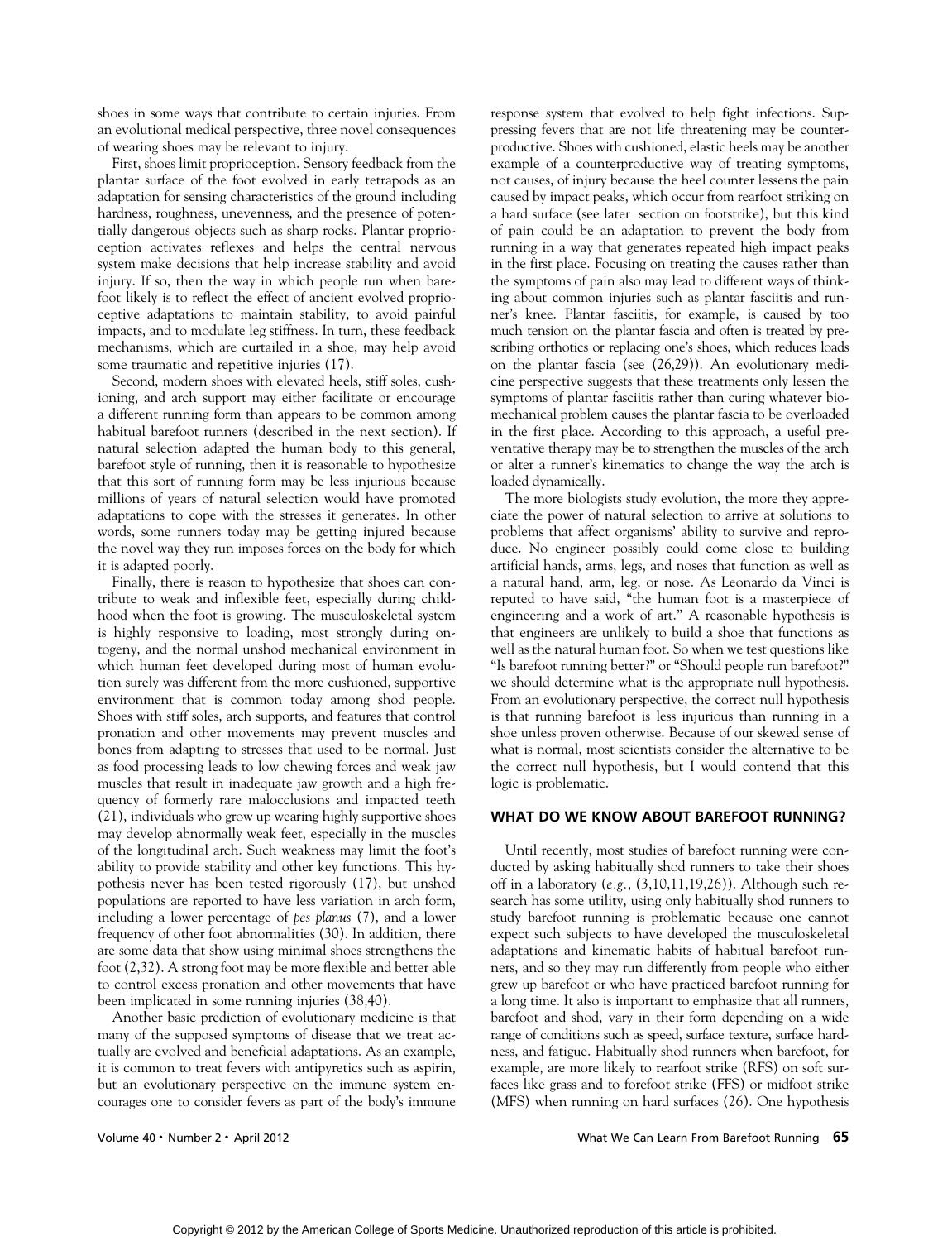shoes in some ways that contribute to certain injuries. From an evolutional medical perspective, three novel consequences of wearing shoes may be relevant to injury.

First, shoes limit proprioception. Sensory feedback from the plantar surface of the foot evolved in early tetrapods as an adaptation for sensing characteristics of the ground including hardness, roughness, unevenness, and the presence of potentially dangerous objects such as sharp rocks. Plantar proprioception activates reflexes and helps the central nervous system make decisions that help increase stability and avoid injury. If so, then the way in which people run when barefoot likely is to reflect the effect of ancient evolved proprioceptive adaptations to maintain stability, to avoid painful impacts, and to modulate leg stiffness. In turn, these feedback mechanisms, which are curtailed in a shoe, may help avoid some traumatic and repetitive injuries (17).

Second, modern shoes with elevated heels, stiff soles, cushioning, and arch support may either facilitate or encourage a different running form than appears to be common among habitual barefoot runners (described in the next section). If natural selection adapted the human body to this general, barefoot style of running, then it is reasonable to hypothesize that this sort of running form may be less injurious because millions of years of natural selection would have promoted adaptations to cope with the stresses it generates. In other words, some runners today may be getting injured because the novel way they run imposes forces on the body for which it is adapted poorly.

Finally, there is reason to hypothesize that shoes can contribute to weak and inflexible feet, especially during childhood when the foot is growing. The musculoskeletal system is highly responsive to loading, most strongly during ontogeny, and the normal unshod mechanical environment in which human feet developed during most of human evolution surely was different from the more cushioned, supportive environment that is common today among shod people. Shoes with stiff soles, arch supports, and features that control pronation and other movements may prevent muscles and bones from adapting to stresses that used to be normal. Just as food processing leads to low chewing forces and weak jaw muscles that result in inadequate jaw growth and a high frequency of formerly rare malocclusions and impacted teeth (21), individuals who grow up wearing highly supportive shoes may develop abnormally weak feet, especially in the muscles of the longitudinal arch. Such weakness may limit the foot's ability to provide stability and other key functions. This hypothesis never has been tested rigorously (17), but unshod populations are reported to have less variation in arch form, including a lower percentage of pes planus (7), and a lower frequency of other foot abnormalities (30). In addition, there are some data that show using minimal shoes strengthens the foot (2,32). A strong foot may be more flexible and better able to control excess pronation and other movements that have been implicated in some running injuries (38,40).

Another basic prediction of evolutionary medicine is that many of the supposed symptoms of disease that we treat actually are evolved and beneficial adaptations. As an example, it is common to treat fevers with antipyretics such as aspirin, but an evolutionary perspective on the immune system encourages one to consider fevers as part of the body's immune

response system that evolved to help fight infections. Suppressing fevers that are not life threatening may be counterproductive. Shoes with cushioned, elastic heels may be another example of a counterproductive way of treating symptoms, not causes, of injury because the heel counter lessens the pain caused by impact peaks, which occur from rearfoot striking on a hard surface (see later section on footstrike), but this kind of pain could be an adaptation to prevent the body from running in a way that generates repeated high impact peaks in the first place. Focusing on treating the causes rather than the symptoms of pain also may lead to different ways of thinking about common injuries such as plantar fasciitis and runner's knee. Plantar fasciitis, for example, is caused by too much tension on the plantar fascia and often is treated by prescribing orthotics or replacing one's shoes, which reduces loads on the plantar fascia (see (26,29)). An evolutionary medicine perspective suggests that these treatments only lessen the symptoms of plantar fasciitis rather than curing whatever biomechanical problem causes the plantar fascia to be overloaded in the first place. According to this approach, a useful preventative therapy may be to strengthen the muscles of the arch or alter a runner's kinematics to change the way the arch is loaded dynamically.

The more biologists study evolution, the more they appreciate the power of natural selection to arrive at solutions to problems that affect organisms' ability to survive and reproduce. No engineer possibly could come close to building artificial hands, arms, legs, and noses that function as well as a natural hand, arm, leg, or nose. As Leonardo da Vinci is reputed to have said, ''the human foot is a masterpiece of engineering and a work of art.'' A reasonable hypothesis is that engineers are unlikely to build a shoe that functions as well as the natural human foot. So when we test questions like ''Is barefoot running better?'' or ''Should people run barefoot?'' we should determine what is the appropriate null hypothesis. From an evolutionary perspective, the correct null hypothesis is that running barefoot is less injurious than running in a shoe unless proven otherwise. Because of our skewed sense of what is normal, most scientists consider the alternative to be the correct null hypothesis, but I would contend that this logic is problematic.

# WHAT DO WE KNOW ABOUT BAREFOOT RUNNING?

Until recently, most studies of barefoot running were conducted by asking habitually shod runners to take their shoes off in a laboratory (e.g., (3,10,11,19,26)). Although such research has some utility, using only habitually shod runners to study barefoot running is problematic because one cannot expect such subjects to have developed the musculoskeletal adaptations and kinematic habits of habitual barefoot runners, and so they may run differently from people who either grew up barefoot or who have practiced barefoot running for a long time. It also is important to emphasize that all runners, barefoot and shod, vary in their form depending on a wide range of conditions such as speed, surface texture, surface hardness, and fatigue. Habitually shod runners when barefoot, for example, are more likely to rearfoot strike (RFS) on soft surfaces like grass and to forefoot strike (FFS) or midfoot strike (MFS) when running on hard surfaces (26). One hypothesis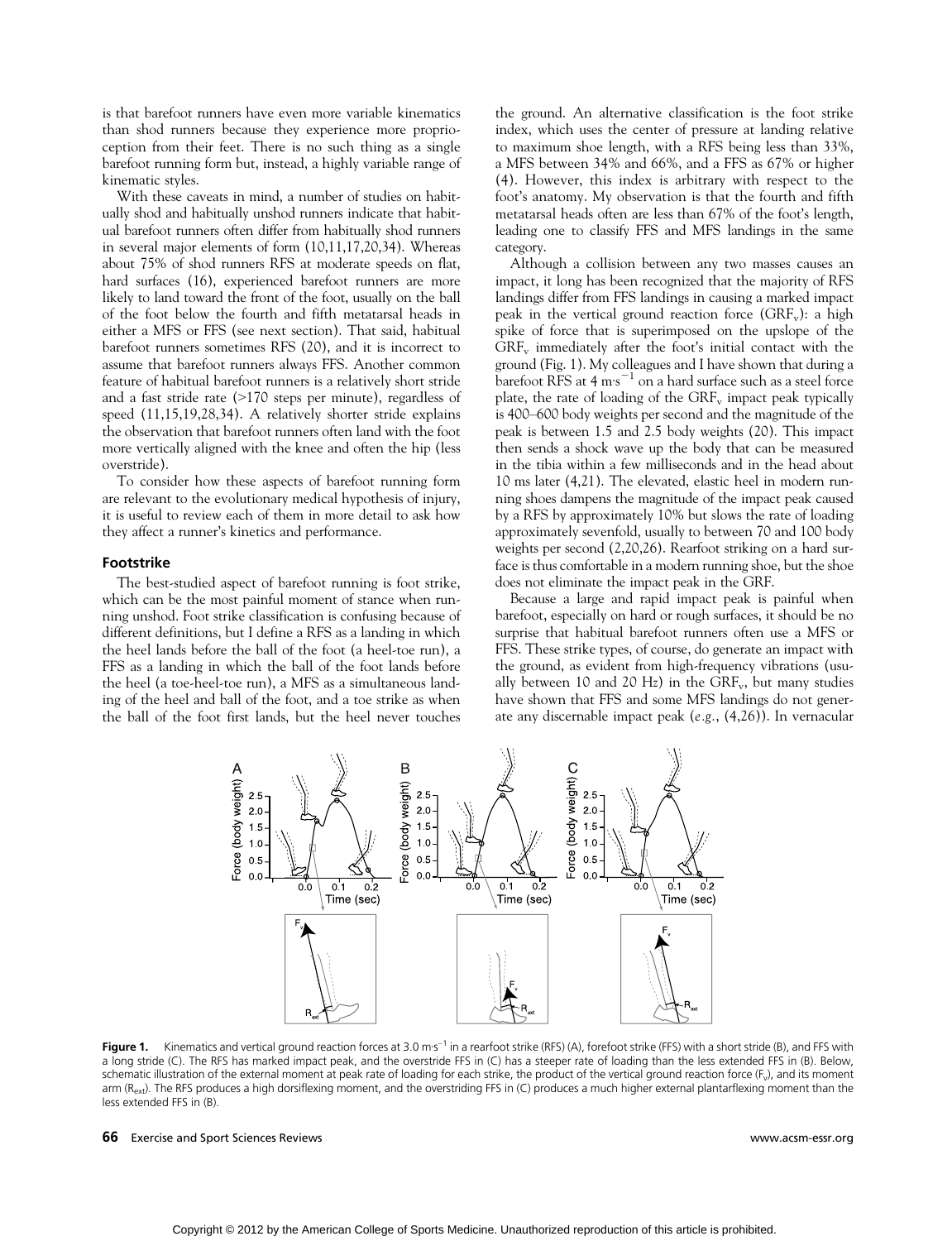is that barefoot runners have even more variable kinematics than shod runners because they experience more proprioception from their feet. There is no such thing as a single barefoot running form but, instead, a highly variable range of kinematic styles.

With these caveats in mind, a number of studies on habitually shod and habitually unshod runners indicate that habitual barefoot runners often differ from habitually shod runners in several major elements of form (10,11,17,20,34). Whereas about 75% of shod runners RFS at moderate speeds on flat, hard surfaces (16), experienced barefoot runners are more likely to land toward the front of the foot, usually on the ball of the foot below the fourth and fifth metatarsal heads in either a MFS or FFS (see next section). That said, habitual barefoot runners sometimes RFS (20), and it is incorrect to assume that barefoot runners always FFS. Another common feature of habitual barefoot runners is a relatively short stride and a fast stride rate (9170 steps per minute), regardless of speed (11,15,19,28,34). A relatively shorter stride explains the observation that barefoot runners often land with the foot more vertically aligned with the knee and often the hip (less overstride).

To consider how these aspects of barefoot running form are relevant to the evolutionary medical hypothesis of injury, it is useful to review each of them in more detail to ask how they affect a runner's kinetics and performance.

#### Footstrike

The best-studied aspect of barefoot running is foot strike, which can be the most painful moment of stance when running unshod. Foot strike classification is confusing because of different definitions, but I define a RFS as a landing in which the heel lands before the ball of the foot (a heel-toe run), a FFS as a landing in which the ball of the foot lands before the heel (a toe-heel-toe run), a MFS as a simultaneous landing of the heel and ball of the foot, and a toe strike as when the ball of the foot first lands, but the heel never touches the ground. An alternative classification is the foot strike index, which uses the center of pressure at landing relative to maximum shoe length, with a RFS being less than 33%, a MFS between 34% and 66%, and a FFS as 67% or higher (4). However, this index is arbitrary with respect to the foot's anatomy. My observation is that the fourth and fifth metatarsal heads often are less than 67% of the foot's length, leading one to classify FFS and MFS landings in the same category.

Although a collision between any two masses causes an impact, it long has been recognized that the majority of RFS landings differ from FFS landings in causing a marked impact peak in the vertical ground reaction force  $(GRF_v)$ : a high spike of force that is superimposed on the upslope of the  $GRF<sub>v</sub>$  immediately after the foot's initial contact with the ground (Fig. 1). My colleagues and I have shown that during a barefoot RFS at  $4 \text{ m} \text{s}^{-1}$  on a hard surface such as a steel force plate, the rate of loading of the  $GRF_v$  impact peak typically is 400-600 body weights per second and the magnitude of the peak is between 1.5 and 2.5 body weights (20). This impact then sends a shock wave up the body that can be measured in the tibia within a few milliseconds and in the head about 10 ms later (4,21). The elevated, elastic heel in modern running shoes dampens the magnitude of the impact peak caused by a RFS by approximately 10% but slows the rate of loading approximately sevenfold, usually to between 70 and 100 body weights per second (2,20,26). Rearfoot striking on a hard surface is thus comfortable in a modern running shoe, but the shoe does not eliminate the impact peak in the GRF.

Because a large and rapid impact peak is painful when barefoot, especially on hard or rough surfaces, it should be no surprise that habitual barefoot runners often use a MFS or FFS. These strike types, of course, do generate an impact with the ground, as evident from high-frequency vibrations (usually between 10 and 20 Hz) in the  $GRF_v$ , but many studies have shown that FFS and some MFS landings do not generate any discernable impact peak (e.g., (4,26)). In vernacular



Figure 1. Kinematics and vertical ground reaction forces at 3.0 m·s<sup>-1</sup> in a rearfoot strike (RFS) (A), forefoot strike (FFS) with a short stride (B), and FFS with a long stride (C). The RFS has marked impact peak, and the overstride FFS in (C) has a steeper rate of loading than the less extended FFS in (B). Below, schematic illustration of the external moment at peak rate of loading for each strike, the product of the vertical ground reaction force  $(F_v)$ , and its moment arm ( $R_{ext}$ ). The RFS produces a high dorsiflexing moment, and the overstriding FFS in (C) produces a much higher external plantarflexing moment than the less extended FFS in (B).

#### 66 Exercise and Sport Sciences Reviews www.acsm-essr.org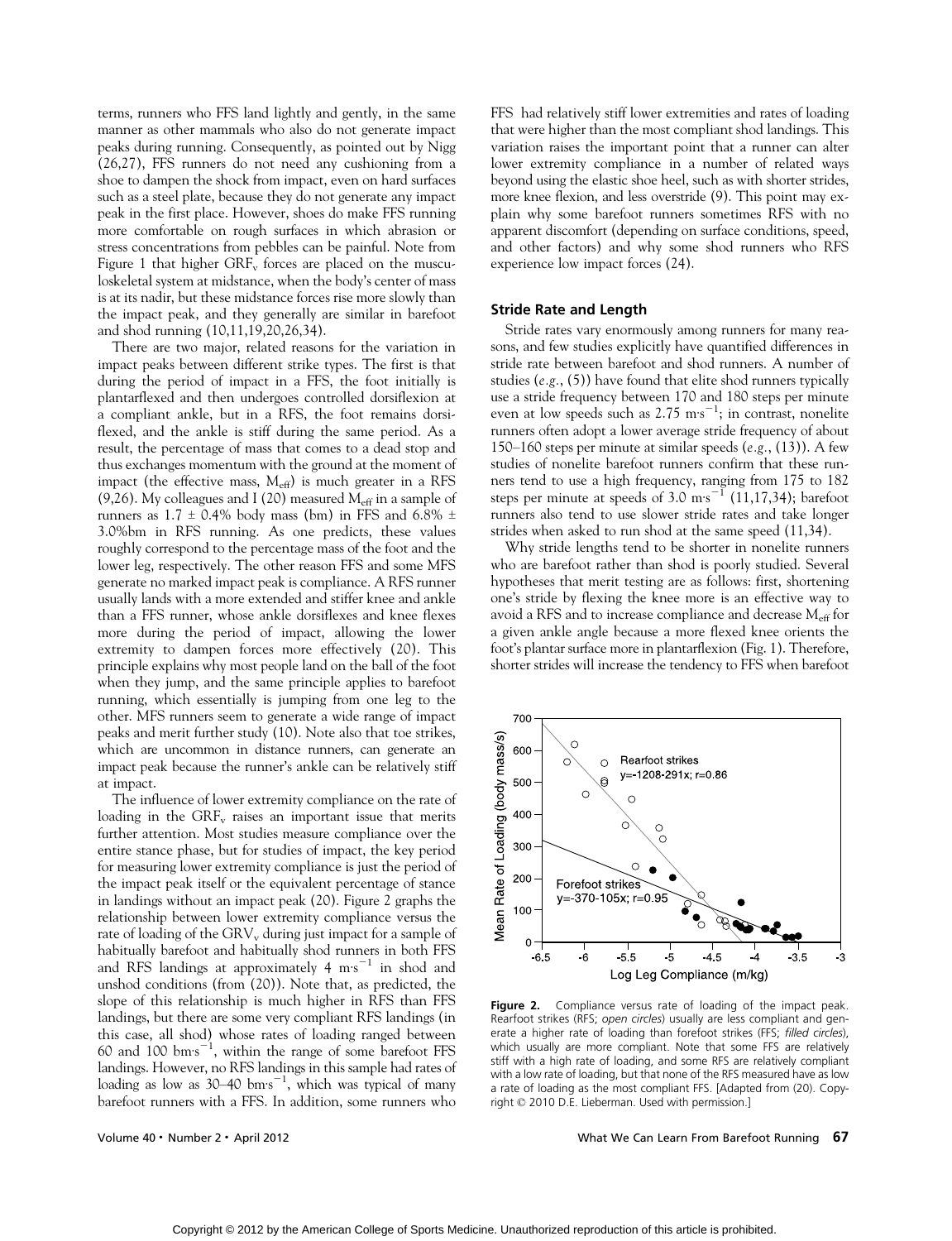terms, runners who FFS land lightly and gently, in the same manner as other mammals who also do not generate impact peaks during running. Consequently, as pointed out by Nigg (26,27), FFS runners do not need any cushioning from a shoe to dampen the shock from impact, even on hard surfaces such as a steel plate, because they do not generate any impact peak in the first place. However, shoes do make FFS running more comfortable on rough surfaces in which abrasion or stress concentrations from pebbles can be painful. Note from Figure 1 that higher  $GRF_v$  forces are placed on the musculoskeletal system at midstance, when the body's center of mass is at its nadir, but these midstance forces rise more slowly than the impact peak, and they generally are similar in barefoot and shod running (10,11,19,20,26,34).

There are two major, related reasons for the variation in impact peaks between different strike types. The first is that during the period of impact in a FFS, the foot initially is plantarflexed and then undergoes controlled dorsiflexion at a compliant ankle, but in a RFS, the foot remains dorsiflexed, and the ankle is stiff during the same period. As a result, the percentage of mass that comes to a dead stop and thus exchanges momentum with the ground at the moment of impact (the effective mass,  $M_{\text{eff}}$ ) is much greater in a RFS (9,26). My colleagues and I (20) measured  $M_{\text{eff}}$  in a sample of runners as  $1.7 \pm 0.4\%$  body mass (bm) in FFS and 6.8%  $\pm$ 3.0%bm in RFS running. As one predicts, these values roughly correspond to the percentage mass of the foot and the lower leg, respectively. The other reason FFS and some MFS generate no marked impact peak is compliance. A RFS runner usually lands with a more extended and stiffer knee and ankle than a FFS runner, whose ankle dorsiflexes and knee flexes more during the period of impact, allowing the lower extremity to dampen forces more effectively (20). This principle explains why most people land on the ball of the foot when they jump, and the same principle applies to barefoot running, which essentially is jumping from one leg to the other. MFS runners seem to generate a wide range of impact peaks and merit further study (10). Note also that toe strikes, which are uncommon in distance runners, can generate an impact peak because the runner's ankle can be relatively stiff at impact.

The influence of lower extremity compliance on the rate of loading in the  $GRF_v$  raises an important issue that merits further attention. Most studies measure compliance over the entire stance phase, but for studies of impact, the key period for measuring lower extremity compliance is just the period of the impact peak itself or the equivalent percentage of stance in landings without an impact peak (20). Figure 2 graphs the relationship between lower extremity compliance versus the rate of loading of the  $GRV<sub>v</sub>$  during just impact for a sample of habitually barefoot and habitually shod runners in both FFS and RFS landings at approximately  $4 \text{ m}\text{s}^{-1}$  in shod and unshod conditions (from (20)). Note that, as predicted, the slope of this relationship is much higher in RFS than FFS landings, but there are some very compliant RFS landings (in this case, all shod) whose rates of loading ranged between  $60$  and  $100 \text{ bms}^{-1}$ , within the range of some barefoot FFS landings. However, no RFS landings in this sample had rates of loading as low as  $30-40$  bm·s<sup>-1</sup>, which was typical of many barefoot runners with a FFS. In addition, some runners who

FFS had relatively stiff lower extremities and rates of loading that were higher than the most compliant shod landings. This variation raises the important point that a runner can alter lower extremity compliance in a number of related ways beyond using the elastic shoe heel, such as with shorter strides, more knee flexion, and less overstride (9). This point may explain why some barefoot runners sometimes RFS with no apparent discomfort (depending on surface conditions, speed, and other factors) and why some shod runners who RFS experience low impact forces (24).

#### Stride Rate and Length

Stride rates vary enormously among runners for many reasons, and few studies explicitly have quantified differences in stride rate between barefoot and shod runners. A number of studies (e.g., (5)) have found that elite shod runners typically use a stride frequency between 170 and 180 steps per minute even at low speeds such as  $2.75 \text{ m} \text{s}^{-1}$ ; in contrast, nonelite runners often adopt a lower average stride frequency of about 150–160 steps per minute at similar speeds (e.g.,  $(13)$ ). A few studies of nonelite barefoot runners confirm that these runners tend to use a high frequency, ranging from 175 to 182 steps per minute at speeds of  $3.0 \text{ m} \cdot \text{s}^{-1}$  (11,17,34); barefoot runners also tend to use slower stride rates and take longer strides when asked to run shod at the same speed (11,34).

Why stride lengths tend to be shorter in nonelite runners who are barefoot rather than shod is poorly studied. Several hypotheses that merit testing are as follows: first, shortening one's stride by flexing the knee more is an effective way to avoid a RFS and to increase compliance and decrease  $M_{\text{eff}}$  for a given ankle angle because a more flexed knee orients the foot's plantar surface more in plantarflexion (Fig. 1). Therefore, shorter strides will increase the tendency to FFS when barefoot



Figure 2. Compliance versus rate of loading of the impact peak. Rearfoot strikes (RFS; open circles) usually are less compliant and generate a higher rate of loading than forefoot strikes (FFS; filled circles), which usually are more compliant. Note that some FFS are relatively stiff with a high rate of loading, and some RFS are relatively compliant with a low rate of loading, but that none of the RFS measured have as low a rate of loading as the most compliant FFS. [Adapted from (20). Copyright @ 2010 D.E. Lieberman. Used with permission.]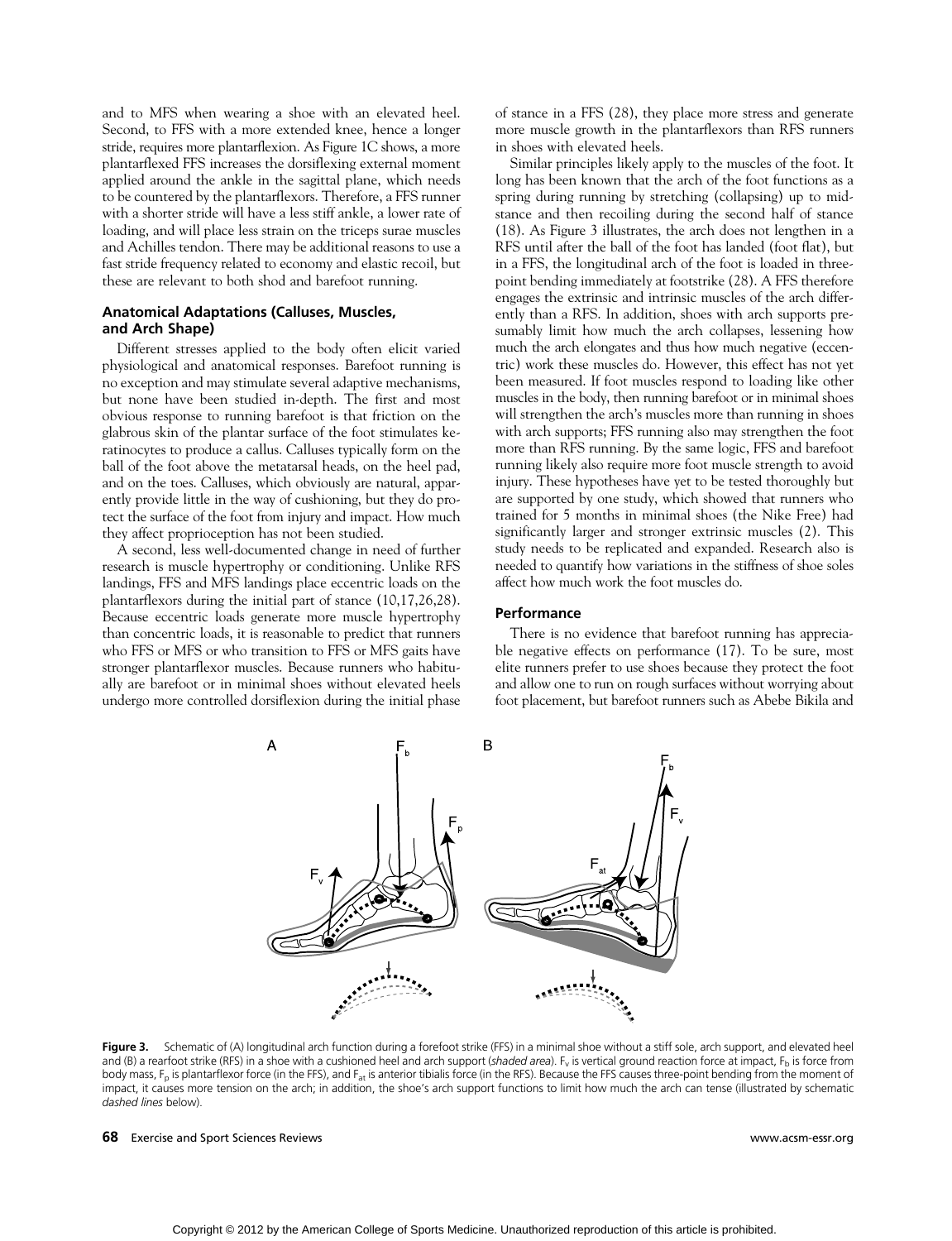and to MFS when wearing a shoe with an elevated heel. Second, to FFS with a more extended knee, hence a longer stride, requires more plantarflexion. As Figure 1C shows, a more plantarflexed FFS increases the dorsiflexing external moment applied around the ankle in the sagittal plane, which needs to be countered by the plantarflexors. Therefore, a FFS runner with a shorter stride will have a less stiff ankle, a lower rate of loading, and will place less strain on the triceps surae muscles and Achilles tendon. There may be additional reasons to use a fast stride frequency related to economy and elastic recoil, but these are relevant to both shod and barefoot running.

# Anatomical Adaptations (Calluses, Muscles, and Arch Shape)

Different stresses applied to the body often elicit varied physiological and anatomical responses. Barefoot running is no exception and may stimulate several adaptive mechanisms, but none have been studied in-depth. The first and most obvious response to running barefoot is that friction on the glabrous skin of the plantar surface of the foot stimulates keratinocytes to produce a callus. Calluses typically form on the ball of the foot above the metatarsal heads, on the heel pad, and on the toes. Calluses, which obviously are natural, apparently provide little in the way of cushioning, but they do protect the surface of the foot from injury and impact. How much they affect proprioception has not been studied.

A second, less well-documented change in need of further research is muscle hypertrophy or conditioning. Unlike RFS landings, FFS and MFS landings place eccentric loads on the plantarflexors during the initial part of stance (10,17,26,28). Because eccentric loads generate more muscle hypertrophy than concentric loads, it is reasonable to predict that runners who FFS or MFS or who transition to FFS or MFS gaits have stronger plantarflexor muscles. Because runners who habitually are barefoot or in minimal shoes without elevated heels undergo more controlled dorsiflexion during the initial phase

of stance in a FFS (28), they place more stress and generate more muscle growth in the plantarflexors than RFS runners in shoes with elevated heels.

Similar principles likely apply to the muscles of the foot. It long has been known that the arch of the foot functions as a spring during running by stretching (collapsing) up to midstance and then recoiling during the second half of stance (18). As Figure 3 illustrates, the arch does not lengthen in a RFS until after the ball of the foot has landed (foot flat), but in a FFS, the longitudinal arch of the foot is loaded in threepoint bending immediately at footstrike (28). A FFS therefore engages the extrinsic and intrinsic muscles of the arch differently than a RFS. In addition, shoes with arch supports presumably limit how much the arch collapses, lessening how much the arch elongates and thus how much negative (eccentric) work these muscles do. However, this effect has not yet been measured. If foot muscles respond to loading like other muscles in the body, then running barefoot or in minimal shoes will strengthen the arch's muscles more than running in shoes with arch supports; FFS running also may strengthen the foot more than RFS running. By the same logic, FFS and barefoot running likely also require more foot muscle strength to avoid injury. These hypotheses have yet to be tested thoroughly but are supported by one study, which showed that runners who trained for 5 months in minimal shoes (the Nike Free) had significantly larger and stronger extrinsic muscles (2). This study needs to be replicated and expanded. Research also is needed to quantify how variations in the stiffness of shoe soles affect how much work the foot muscles do.

## **Performance**

There is no evidence that barefoot running has appreciable negative effects on performance (17). To be sure, most elite runners prefer to use shoes because they protect the foot and allow one to run on rough surfaces without worrying about foot placement, but barefoot runners such as Abebe Bikila and



Figure 3. Schematic of (A) longitudinal arch function during a forefoot strike (FFS) in a minimal shoe without a stiff sole, arch support, and elevated heel and (B) a rearfoot strike (RFS) in a shoe with a cushioned heel and arch support (shaded area). F<sub>y</sub> is vertical ground reaction force at impact, F<sub>b</sub> is force from body mass,  $F_p$  is plantarflexor force (in the FFS), and  $F_{at}$  is anterior tibialis force (in the RFS). Because the FFS causes three-point bending from the moment of impact, it causes more tension on the arch; in addition, the shoe's arch support functions to limit how much the arch can tense (illustrated by schematic dashed lines below).

68 Exercise and Sport Sciences Reviews www.acsm-essr.org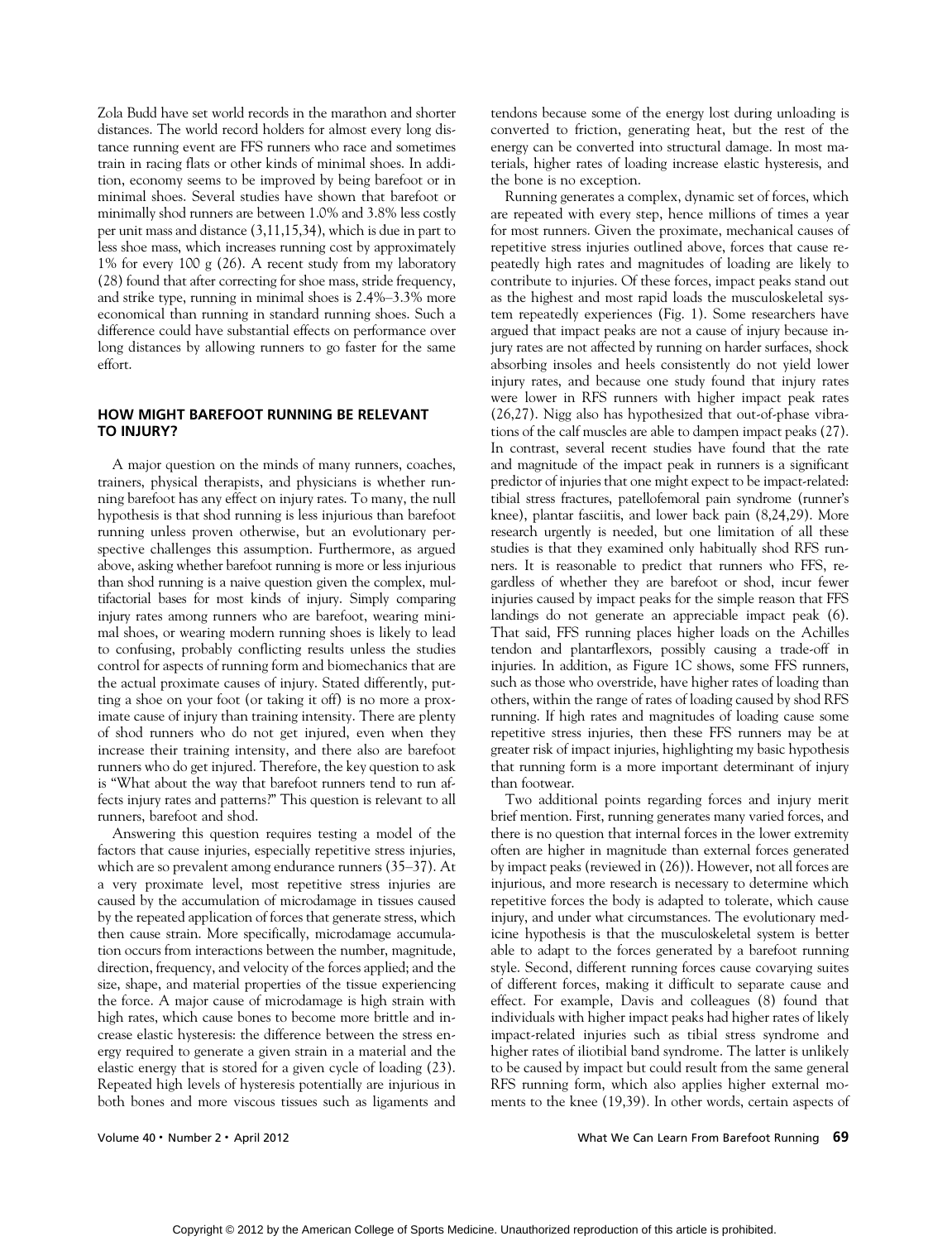Zola Budd have set world records in the marathon and shorter distances. The world record holders for almost every long distance running event are FFS runners who race and sometimes train in racing flats or other kinds of minimal shoes. In addition, economy seems to be improved by being barefoot or in minimal shoes. Several studies have shown that barefoot or minimally shod runners are between 1.0% and 3.8% less costly per unit mass and distance (3,11,15,34), which is due in part to less shoe mass, which increases running cost by approximately 1% for every 100 g (26). A recent study from my laboratory (28) found that after correcting for shoe mass, stride frequency, and strike type, running in minimal shoes is  $2.4\% - 3.3\%$  more economical than running in standard running shoes. Such a difference could have substantial effects on performance over long distances by allowing runners to go faster for the same effort.

# HOW MIGHT BAREFOOT RUNNING BE RELEVANT TO INJURY?

A major question on the minds of many runners, coaches, trainers, physical therapists, and physicians is whether running barefoot has any effect on injury rates. To many, the null hypothesis is that shod running is less injurious than barefoot running unless proven otherwise, but an evolutionary perspective challenges this assumption. Furthermore, as argued above, asking whether barefoot running is more or less injurious than shod running is a naive question given the complex, multifactorial bases for most kinds of injury. Simply comparing injury rates among runners who are barefoot, wearing minimal shoes, or wearing modern running shoes is likely to lead to confusing, probably conflicting results unless the studies control for aspects of running form and biomechanics that are the actual proximate causes of injury. Stated differently, putting a shoe on your foot (or taking it off) is no more a proximate cause of injury than training intensity. There are plenty of shod runners who do not get injured, even when they increase their training intensity, and there also are barefoot runners who do get injured. Therefore, the key question to ask is ''What about the way that barefoot runners tend to run affects injury rates and patterns?'' This question is relevant to all runners, barefoot and shod.

Answering this question requires testing a model of the factors that cause injuries, especially repetitive stress injuries, which are so prevalent among endurance runners  $(35-37)$ . At a very proximate level, most repetitive stress injuries are caused by the accumulation of microdamage in tissues caused by the repeated application of forces that generate stress, which then cause strain. More specifically, microdamage accumulation occurs from interactions between the number, magnitude, direction, frequency, and velocity of the forces applied; and the size, shape, and material properties of the tissue experiencing the force. A major cause of microdamage is high strain with high rates, which cause bones to become more brittle and increase elastic hysteresis: the difference between the stress energy required to generate a given strain in a material and the elastic energy that is stored for a given cycle of loading (23). Repeated high levels of hysteresis potentially are injurious in both bones and more viscous tissues such as ligaments and

tendons because some of the energy lost during unloading is converted to friction, generating heat, but the rest of the energy can be converted into structural damage. In most materials, higher rates of loading increase elastic hysteresis, and the bone is no exception.

Running generates a complex, dynamic set of forces, which are repeated with every step, hence millions of times a year for most runners. Given the proximate, mechanical causes of repetitive stress injuries outlined above, forces that cause repeatedly high rates and magnitudes of loading are likely to contribute to injuries. Of these forces, impact peaks stand out as the highest and most rapid loads the musculoskeletal system repeatedly experiences (Fig. 1). Some researchers have argued that impact peaks are not a cause of injury because injury rates are not affected by running on harder surfaces, shock absorbing insoles and heels consistently do not yield lower injury rates, and because one study found that injury rates were lower in RFS runners with higher impact peak rates (26,27). Nigg also has hypothesized that out-of-phase vibrations of the calf muscles are able to dampen impact peaks (27). In contrast, several recent studies have found that the rate and magnitude of the impact peak in runners is a significant predictor of injuries that one might expect to be impact-related: tibial stress fractures, patellofemoral pain syndrome (runner's knee), plantar fasciitis, and lower back pain (8,24,29). More research urgently is needed, but one limitation of all these studies is that they examined only habitually shod RFS runners. It is reasonable to predict that runners who FFS, regardless of whether they are barefoot or shod, incur fewer injuries caused by impact peaks for the simple reason that FFS landings do not generate an appreciable impact peak (6). That said, FFS running places higher loads on the Achilles tendon and plantarflexors, possibly causing a trade-off in injuries. In addition, as Figure 1C shows, some FFS runners, such as those who overstride, have higher rates of loading than others, within the range of rates of loading caused by shod RFS running. If high rates and magnitudes of loading cause some repetitive stress injuries, then these FFS runners may be at greater risk of impact injuries, highlighting my basic hypothesis that running form is a more important determinant of injury than footwear.

Two additional points regarding forces and injury merit brief mention. First, running generates many varied forces, and there is no question that internal forces in the lower extremity often are higher in magnitude than external forces generated by impact peaks (reviewed in (26)). However, not all forces are injurious, and more research is necessary to determine which repetitive forces the body is adapted to tolerate, which cause injury, and under what circumstances. The evolutionary medicine hypothesis is that the musculoskeletal system is better able to adapt to the forces generated by a barefoot running style. Second, different running forces cause covarying suites of different forces, making it difficult to separate cause and effect. For example, Davis and colleagues (8) found that individuals with higher impact peaks had higher rates of likely impact-related injuries such as tibial stress syndrome and higher rates of iliotibial band syndrome. The latter is unlikely to be caused by impact but could result from the same general RFS running form, which also applies higher external moments to the knee (19,39). In other words, certain aspects of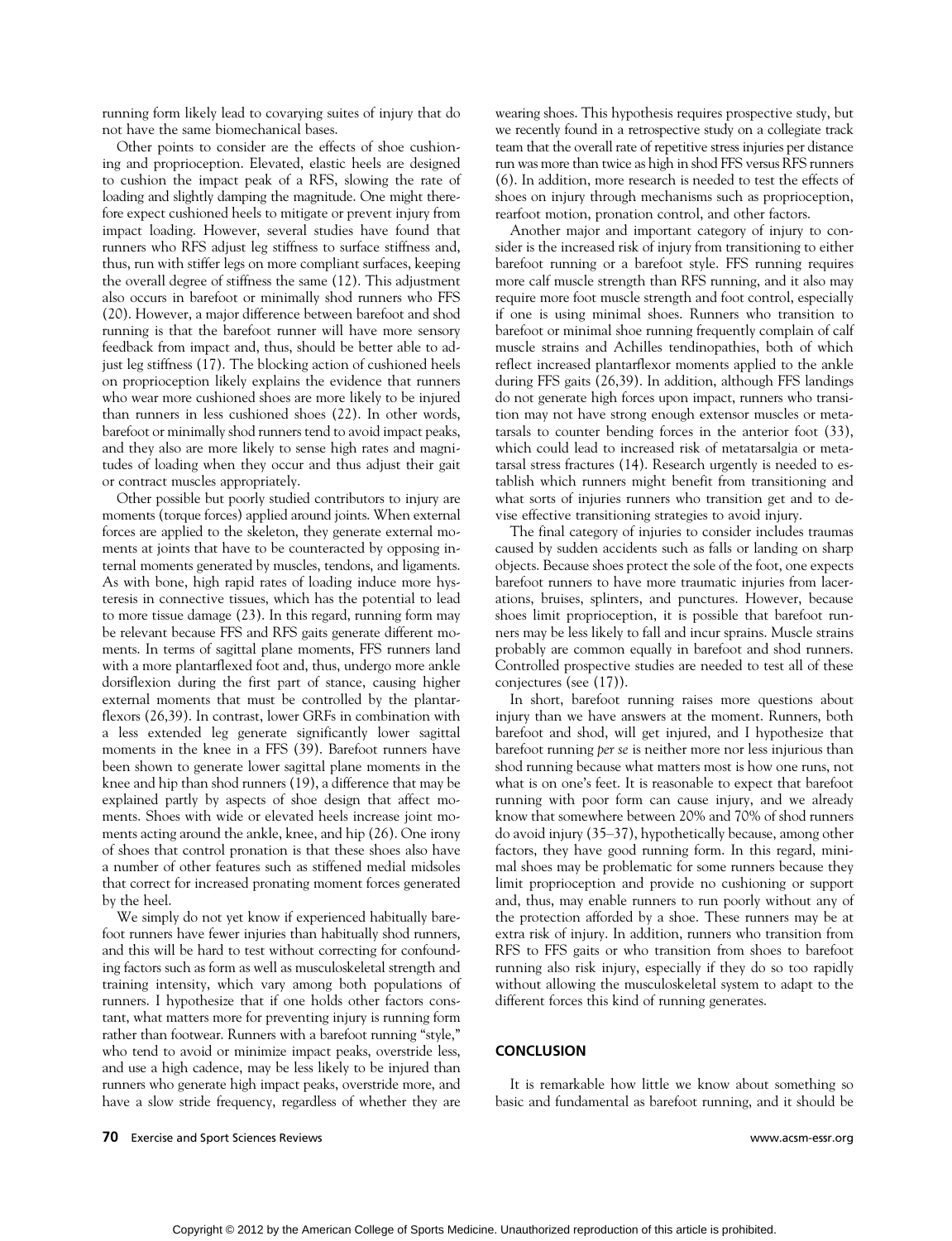running form likely lead to covarying suites of injury that do not have the same biomechanical bases.

Other points to consider are the effects of shoe cushioning and proprioception. Elevated, elastic heels are designed to cushion the impact peak of a RFS, slowing the rate of loading and slightly damping the magnitude. One might therefore expect cushioned heels to mitigate or prevent injury from impact loading. However, several studies have found that runners who RFS adjust leg stiffness to surface stiffness and, thus, run with stiffer legs on more compliant surfaces, keeping the overall degree of stiffness the same (12). This adjustment also occurs in barefoot or minimally shod runners who FFS (20). However, a major difference between barefoot and shod running is that the barefoot runner will have more sensory feedback from impact and, thus, should be better able to adjust leg stiffness (17). The blocking action of cushioned heels on proprioception likely explains the evidence that runners who wear more cushioned shoes are more likely to be injured than runners in less cushioned shoes (22). In other words, barefoot or minimally shod runners tend to avoid impact peaks, and they also are more likely to sense high rates and magnitudes of loading when they occur and thus adjust their gait or contract muscles appropriately.

Other possible but poorly studied contributors to injury are moments (torque forces) applied around joints. When external forces are applied to the skeleton, they generate external moments at joints that have to be counteracted by opposing internal moments generated by muscles, tendons, and ligaments. As with bone, high rapid rates of loading induce more hysteresis in connective tissues, which has the potential to lead to more tissue damage (23). In this regard, running form may be relevant because FFS and RFS gaits generate different moments. In terms of sagittal plane moments, FFS runners land with a more plantarflexed foot and, thus, undergo more ankle dorsiflexion during the first part of stance, causing higher external moments that must be controlled by the plantarflexors (26,39). In contrast, lower GRFs in combination with a less extended leg generate significantly lower sagittal moments in the knee in a FFS (39). Barefoot runners have been shown to generate lower sagittal plane moments in the knee and hip than shod runners (19), a difference that may be explained partly by aspects of shoe design that affect moments. Shoes with wide or elevated heels increase joint moments acting around the ankle, knee, and hip (26). One irony of shoes that control pronation is that these shoes also have a number of other features such as stiffened medial midsoles that correct for increased pronating moment forces generated by the heel.

We simply do not yet know if experienced habitually barefoot runners have fewer injuries than habitually shod runners, and this will be hard to test without correcting for confounding factors such as form as well as musculoskeletal strength and training intensity, which vary among both populations of runners. I hypothesize that if one holds other factors constant, what matters more for preventing injury is running form rather than footwear. Runners with a barefoot running ''style,'' who tend to avoid or minimize impact peaks, overstride less, and use a high cadence, may be less likely to be injured than runners who generate high impact peaks, overstride more, and have a slow stride frequency, regardless of whether they are

wearing shoes. This hypothesis requires prospective study, but we recently found in a retrospective study on a collegiate track team that the overall rate of repetitive stress injuries per distance run was more than twice as high in shod FFS versus RFS runners (6). In addition, more research is needed to test the effects of shoes on injury through mechanisms such as proprioception, rearfoot motion, pronation control, and other factors.

Another major and important category of injury to consider is the increased risk of injury from transitioning to either barefoot running or a barefoot style. FFS running requires more calf muscle strength than RFS running, and it also may require more foot muscle strength and foot control, especially if one is using minimal shoes. Runners who transition to barefoot or minimal shoe running frequently complain of calf muscle strains and Achilles tendinopathies, both of which reflect increased plantarflexor moments applied to the ankle during FFS gaits (26,39). In addition, although FFS landings do not generate high forces upon impact, runners who transition may not have strong enough extensor muscles or metatarsals to counter bending forces in the anterior foot (33), which could lead to increased risk of metatarsalgia or metatarsal stress fractures (14). Research urgently is needed to establish which runners might benefit from transitioning and what sorts of injuries runners who transition get and to devise effective transitioning strategies to avoid injury.

The final category of injuries to consider includes traumas caused by sudden accidents such as falls or landing on sharp objects. Because shoes protect the sole of the foot, one expects barefoot runners to have more traumatic injuries from lacerations, bruises, splinters, and punctures. However, because shoes limit proprioception, it is possible that barefoot runners may be less likely to fall and incur sprains. Muscle strains probably are common equally in barefoot and shod runners. Controlled prospective studies are needed to test all of these conjectures (see (17)).

In short, barefoot running raises more questions about injury than we have answers at the moment. Runners, both barefoot and shod, will get injured, and I hypothesize that barefoot running per se is neither more nor less injurious than shod running because what matters most is how one runs, not what is on one's feet. It is reasonable to expect that barefoot running with poor form can cause injury, and we already know that somewhere between 20% and 70% of shod runners do avoid injury  $(35-37)$ , hypothetically because, among other factors, they have good running form. In this regard, minimal shoes may be problematic for some runners because they limit proprioception and provide no cushioning or support and, thus, may enable runners to run poorly without any of the protection afforded by a shoe. These runners may be at extra risk of injury. In addition, runners who transition from RFS to FFS gaits or who transition from shoes to barefoot running also risk injury, especially if they do so too rapidly without allowing the musculoskeletal system to adapt to the different forces this kind of running generates.

# **CONCLUSION**

It is remarkable how little we know about something so basic and fundamental as barefoot running, and it should be

70 Exercise and Sport Sciences Reviews www.acsm-essr.org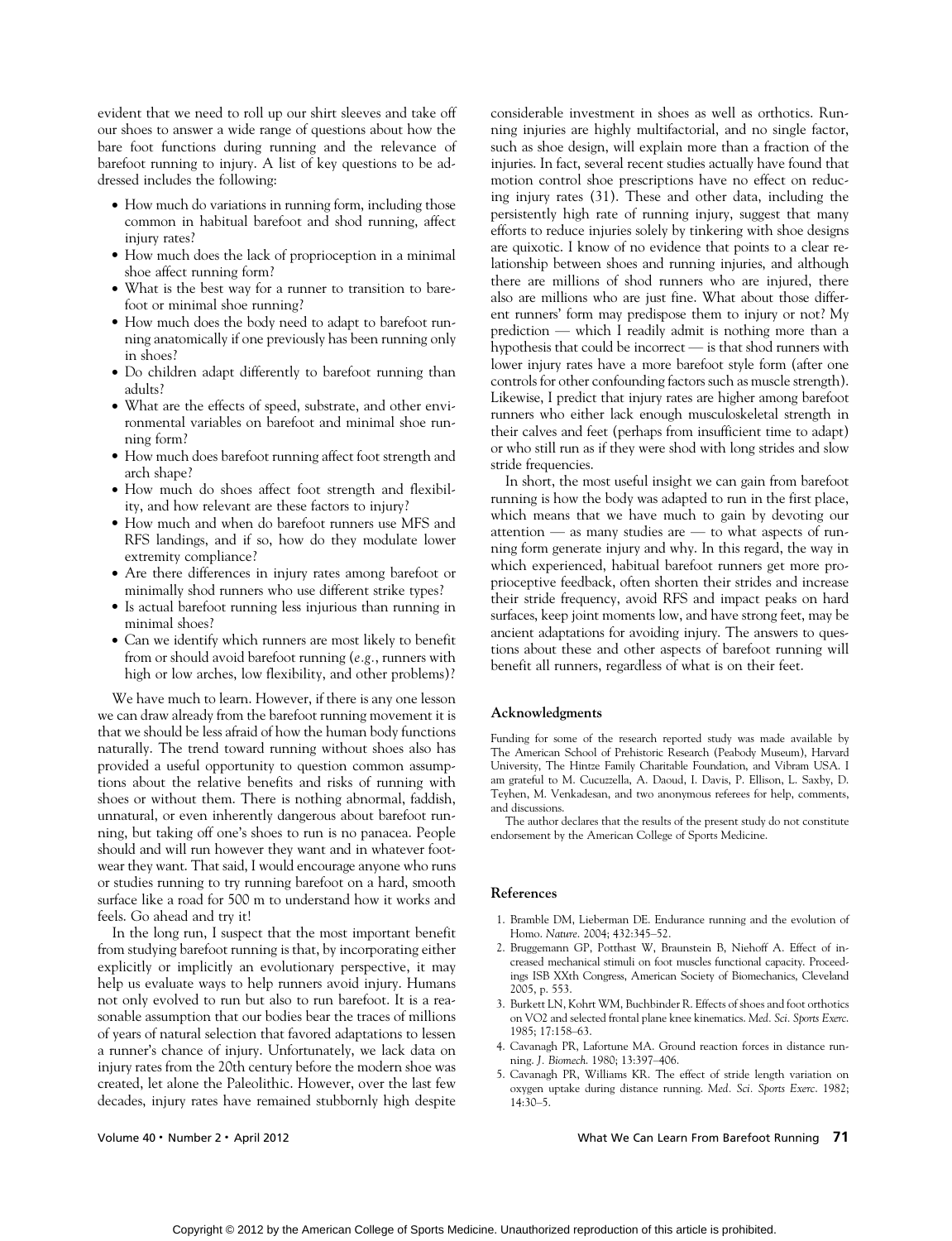evident that we need to roll up our shirt sleeves and take off our shoes to answer a wide range of questions about how the bare foot functions during running and the relevance of barefoot running to injury. A list of key questions to be addressed includes the following:

- How much do variations in running form, including those common in habitual barefoot and shod running, affect injury rates?
- & How much does the lack of proprioception in a minimal shoe affect running form?
- What is the best way for a runner to transition to barefoot or minimal shoe running?
- How much does the body need to adapt to barefoot running anatomically if one previously has been running only in shoes?
- & Do children adapt differently to barefoot running than adults?
- & What are the effects of speed, substrate, and other environmental variables on barefoot and minimal shoe running form?
- & How much does barefoot running affect foot strength and arch shape?
- How much do shoes affect foot strength and flexibility, and how relevant are these factors to injury?
- & How much and when do barefoot runners use MFS and RFS landings, and if so, how do they modulate lower extremity compliance?
- & Are there differences in injury rates among barefoot or minimally shod runners who use different strike types?
- Is actual barefoot running less injurious than running in minimal shoes?
- Can we identify which runners are most likely to benefit from or should avoid barefoot running (e.g., runners with high or low arches, low flexibility, and other problems)?

We have much to learn. However, if there is any one lesson we can draw already from the barefoot running movement it is that we should be less afraid of how the human body functions naturally. The trend toward running without shoes also has provided a useful opportunity to question common assumptions about the relative benefits and risks of running with shoes or without them. There is nothing abnormal, faddish, unnatural, or even inherently dangerous about barefoot running, but taking off one's shoes to run is no panacea. People should and will run however they want and in whatever footwear they want. That said, I would encourage anyone who runs or studies running to try running barefoot on a hard, smooth surface like a road for 500 m to understand how it works and feels. Go ahead and try it!

In the long run, I suspect that the most important benefit from studying barefoot running is that, by incorporating either explicitly or implicitly an evolutionary perspective, it may help us evaluate ways to help runners avoid injury. Humans not only evolved to run but also to run barefoot. It is a reasonable assumption that our bodies bear the traces of millions of years of natural selection that favored adaptations to lessen a runner's chance of injury. Unfortunately, we lack data on injury rates from the 20th century before the modern shoe was created, let alone the Paleolithic. However, over the last few decades, injury rates have remained stubbornly high despite

considerable investment in shoes as well as orthotics. Running injuries are highly multifactorial, and no single factor, such as shoe design, will explain more than a fraction of the injuries. In fact, several recent studies actually have found that motion control shoe prescriptions have no effect on reducing injury rates (31). These and other data, including the persistently high rate of running injury, suggest that many efforts to reduce injuries solely by tinkering with shoe designs are quixotic. I know of no evidence that points to a clear relationship between shoes and running injuries, and although there are millions of shod runners who are injured, there also are millions who are just fine. What about those different runners' form may predispose them to injury or not? My prediction  $-$  which I readily admit is nothing more than a hypothesis that could be incorrect — is that shod runners with lower injury rates have a more barefoot style form (after one controls for other confounding factors such as muscle strength). Likewise, I predict that injury rates are higher among barefoot runners who either lack enough musculoskeletal strength in their calves and feet (perhaps from insufficient time to adapt) or who still run as if they were shod with long strides and slow stride frequencies.

In short, the most useful insight we can gain from barefoot running is how the body was adapted to run in the first place, which means that we have much to gain by devoting our attention  $\sim$  as many studies are  $\sim$  to what aspects of running form generate injury and why. In this regard, the way in which experienced, habitual barefoot runners get more proprioceptive feedback, often shorten their strides and increase their stride frequency, avoid RFS and impact peaks on hard surfaces, keep joint moments low, and have strong feet, may be ancient adaptations for avoiding injury. The answers to questions about these and other aspects of barefoot running will benefit all runners, regardless of what is on their feet.

#### Acknowledgments

Funding for some of the research reported study was made available by The American School of Prehistoric Research (Peabody Museum), Harvard University, The Hintze Family Charitable Foundation, and Vibram USA. I am grateful to M. Cucuzzella, A. Daoud, I. Davis, P. Ellison, L. Saxby, D. Teyhen, M. Venkadesan, and two anonymous referees for help, comments, and discussions.

The author declares that the results of the present study do not constitute endorsement by the American College of Sports Medicine.

## References

- 1. Bramble DM, Lieberman DE. Endurance running and the evolution of Homo. Nature. 2004; 432:345-52.
- 2. Bruggemann GP, Potthast W, Braunstein B, Niehoff A. Effect of increased mechanical stimuli on foot muscles functional capacity. Proceedings ISB XXth Congress, American Society of Biomechanics, Cleveland 2005, p. 553.
- 3. Burkett LN, Kohrt WM, Buchbinder R. Effects of shoes and foot orthotics on VO2 and selected frontal plane knee kinematics. Med. Sci. Sports Exerc. 1985; 17:158-63.
- 4. Cavanagh PR, Lafortune MA. Ground reaction forces in distance running. J. Biomech. 1980; 13:397-406.
- 5. Cavanagh PR, Williams KR. The effect of stride length variation on oxygen uptake during distance running. Med. Sci. Sports Exerc. 1982;  $14:30 - 5$ .

Volume 40 • Number 2 • April 2012 What We Can Learn From Barefoot Running 21